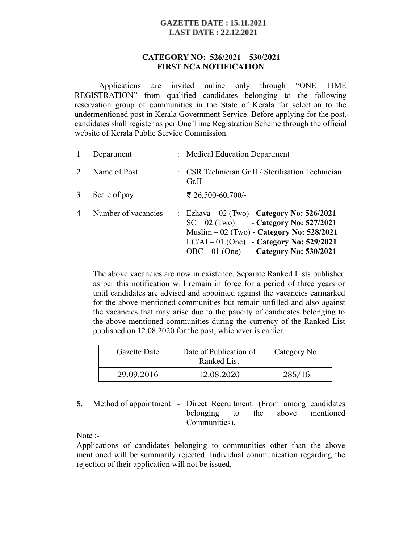## **GAZETTE DATE: 15.11.2021 LAST DATE: 22.12.2021**

## **CATEGORY NO: 526/2021 – 530/2021 FIRST NCA NOTIFICATION**

Applications are invited online only through "ONE TIME REGISTRATION" from qualified candidates belonging to the following reservation group of communities in the State of Kerala for selection to the undermentioned post in Kerala Government Service. Before applying for the post, candidates shall register as per One Time Registration Scheme through the official website of Kerala Public Service Commission.

|                             | Department          | : Medical Education Department                                                                                                                                                                                                   |
|-----------------------------|---------------------|----------------------------------------------------------------------------------------------------------------------------------------------------------------------------------------------------------------------------------|
| $\mathcal{D}_{\mathcal{L}}$ | Name of Post        | : CSR Technician Gr.II / Sterilisation Technician<br>Gr.II                                                                                                                                                                       |
| 3                           | Scale of pay        | $\div$ ₹ 26,500-60,700/-                                                                                                                                                                                                         |
| $\overline{4}$              | Number of vacancies | : Ezhava – 02 (Two) - Category No: $526/2021$<br>$SC - 02$ (Two) - Category No: 527/2021<br>Muslim $-02$ (Two) - Category No: 528/2021<br>$LC/AI - 01$ (One) - Category No: 529/2021<br>$OBC - 01$ (One) - Category No: 530/2021 |

The above vacancies are now in existence. Separate Ranked Lists published as per this notification will remain in force for a period of three years or until candidates are advised and appointed against the vacancies earmarked for the above mentioned communities but remain unfilled and also against the vacancies that may arise due to the paucity of candidates belonging to the above mentioned communities during the currency of the Ranked List published on 12.08.2020 for the post, whichever is earlier.

| Gazette Date | Date of Publication of<br>Ranked List | Category No. |
|--------------|---------------------------------------|--------------|
| 29.09.2016   | 12.08.2020                            | 285/16       |

**5.** Method of appointment - Direct Recruitment. (From among candidates belonging to the above mentioned Communities).

Note :-

Applications of candidates belonging to communities other than the above mentioned will be summarily rejected. Individual communication regarding the rejection of their application will not be issued.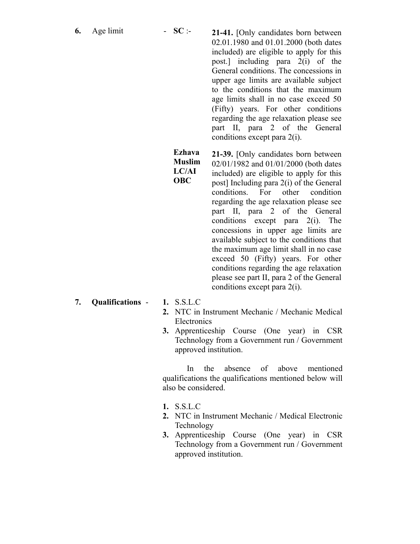**6.** Age limit - **SC** :- **21-41.** [Only candidates born between 02.01.1980 and 01.01.2000 (both dates included) are eligible to apply for this post.] including para 2(i) of the General conditions. The concessions in upper age limits are available subject to the conditions that the maximum age limits shall in no case exceed 50 (Fifty) years. For other conditions regarding the age relaxation please see part II, para 2 of the General conditions except para 2(i).

> **Ezhava Muslim LC/AI OBC**

**21-39.** [Only candidates born between 02/01/1982 and 01/01/2000 (both dates included) are eligible to apply for this post] Including para 2(i) of the General conditions. For other condition regarding the age relaxation please see part II, para 2 of the General conditions except para 2(i). The concessions in upper age limits are available subject to the conditions that the maximum age limit shall in no case exceed 50 (Fifty) years. For other conditions regarding the age relaxation please see part II, para 2 of the General conditions except para 2(i).

- **7. Qualifications 1.** S.S.L.C
	-
	- **2.** NTC in Instrument Mechanic / Mechanic Medical **Electronics**
	- **3.** Apprenticeship Course (One year) in CSR Technology from a Government run / Government approved institution.

In the absence of above mentioned qualifications the qualifications mentioned below will also be considered.

- **1.** S.S.L.C
- **2.** NTC in Instrument Mechanic / Medical Electronic Technology
- **3.** Apprenticeship Course (One year) in CSR Technology from a Government run / Government approved institution.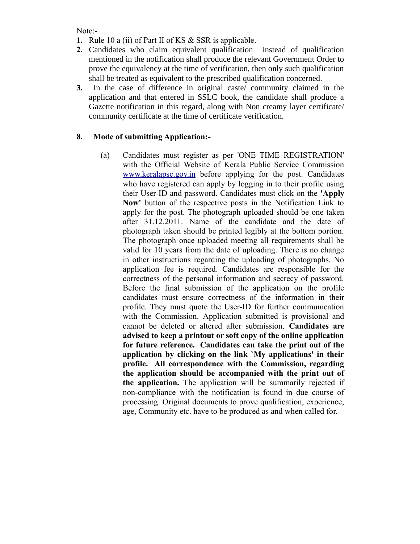Note:-

- **1.** Rule 10 a (ii) of Part II of KS & SSR is applicable.
- **2.** Candidates who claim equivalent qualification instead of qualification mentioned in the notification shall produce the relevant Government Order to prove the equivalency at the time of verification, then only such qualification shall be treated as equivalent to the prescribed qualification concerned.
- **3.** In the case of difference in original caste/ community claimed in the application and that entered in SSLC book, the candidate shall produce a Gazette notification in this regard, along with Non creamy layer certificate/ community certificate at the time of certificate verification.

## **8. Mode of submitting Application:-**

(a) Candidates must register as per 'ONE TIME REGISTRATION' with the Official Website of Kerala Public Service Commission [www.keralapsc.gov.in](http://www.kerealapsc.gov.in/) before applying for the post. Candidates who have registered can apply by logging in to their profile using their User-ID and password. Candidates must click on the **'Apply Now'** button of the respective posts in the Notification Link to apply for the post. The photograph uploaded should be one taken after 31.12.2011. Name of the candidate and the date of photograph taken should be printed legibly at the bottom portion. The photograph once uploaded meeting all requirements shall be valid for 10 years from the date of uploading. There is no change in other instructions regarding the uploading of photographs. No application fee is required. Candidates are responsible for the correctness of the personal information and secrecy of password. Before the final submission of the application on the profile candidates must ensure correctness of the information in their profile. They must quote the User-ID for further communication with the Commission. Application submitted is provisional and cannot be deleted or altered after submission. **Candidates are advised to keep a printout or soft copy of the online application for future reference. Candidates can take the print out of the application by clicking on the link `My applications' in their profile. All correspondence with the Commission, regarding the application should be accompanied with the print out of the application.** The application will be summarily rejected if non-compliance with the notification is found in due course of processing. Original documents to prove qualification, experience, age, Community etc. have to be produced as and when called for.